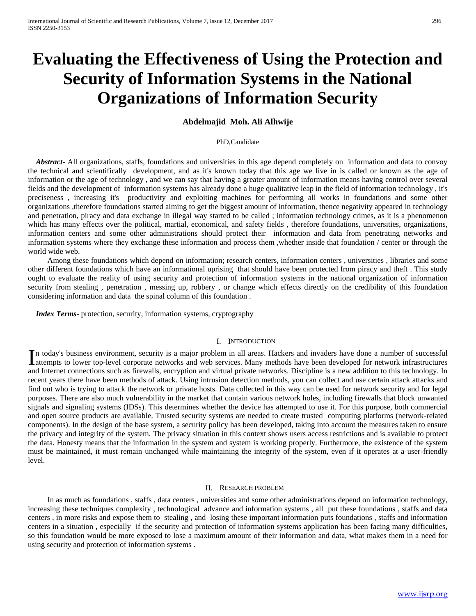# **Evaluating the Effectiveness of Using the Protection and Security of Information Systems in the National Organizations of Information Security**

# **Abdelmajid Moh. Ali Alhwije**

#### PhD,Candidate

 *Abstract***-** All organizations, staffs, foundations and universities in this age depend completely on information and data to convoy the technical and scientifically development, and as it's known today that this age we live in is called or known as the age of information or the age of technology , and we can say that having a greater amount of information means having control over several fields and the development of information systems has already done a huge qualitative leap in the field of information technology , it's preciseness , increasing it's productivity and exploiting machines for performing all works in foundations and some other organizations ,therefore foundations started aiming to get the biggest amount of information, thence negativity appeared in technology and penetration, piracy and data exchange in illegal way started to be called ; information technology crimes, as it is a phenomenon which has many effects over the political, martial, economical, and safety fields , therefore foundations, universities, organizations, information centers and some other administrations should protect their information and data from penetrating networks and information systems where they exchange these information and process them ,whether inside that foundation / center or through the world wide web.

 Among these foundations which depend on information; research centers, information centers , universities , libraries and some other different foundations which have an informational uprising that should have been protected from piracy and theft . This study ought to evaluate the reality of using security and protection of information systems in the national organization of information security from stealing , penetration , messing up, robbery , or change which effects directly on the credibility of this foundation considering information and data the spinal column of this foundation .

 *Index Terms*- protection, security, information systems, cryptography

#### I. INTRODUCTION

n today's business environment, security is a major problem in all areas. Hackers and invaders have done a number of successful In today's business environment, security is a major problem in all areas. Hackers and invaders have done a number of successful attempts to lower top-level corporate networks and web services. Many methods have been devel and Internet connections such as firewalls, encryption and virtual private networks. Discipline is a new addition to this technology. In recent years there have been methods of attack. Using intrusion detection methods, you can collect and use certain attack attacks and find out who is trying to attack the network or private hosts. Data collected in this way can be used for network security and for legal purposes. There are also much vulnerability in the market that contain various network holes, including firewalls that block unwanted signals and signaling systems (IDSs). This determines whether the device has attempted to use it. For this purpose, both commercial and open source products are available. Trusted security systems are needed to create trusted computing platforms (network-related components). In the design of the base system, a security policy has been developed, taking into account the measures taken to ensure the privacy and integrity of the system. The privacy situation in this context shows users access restrictions and is available to protect the data. Honesty means that the information in the system and system is working properly. Furthermore, the existence of the system must be maintained, it must remain unchanged while maintaining the integrity of the system, even if it operates at a user-friendly level.

## II. RESEARCH PROBLEM

 In as much as foundations , staffs , data centers , universities and some other administrations depend on information technology, increasing these techniques complexity , technological advance and information systems , all put these foundations , staffs and data centers , in more risks and expose them to stealing , and losing these important information puts foundations , staffs and information centers in a situation , especially if the security and protection of information systems application has been facing many difficulties, so this foundation would be more exposed to lose a maximum amount of their information and data, what makes them in a need for using security and protection of information systems .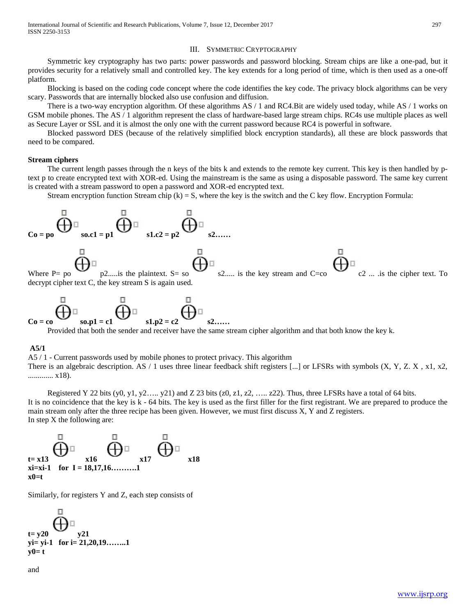## III. SYMMETRIC CRYPTOGRAPHY

 Symmetric key cryptography has two parts: power passwords and password blocking. Stream chips are like a one-pad, but it provides security for a relatively small and controlled key. The key extends for a long period of time, which is then used as a one-off platform.

 Blocking is based on the coding code concept where the code identifies the key code. The privacy block algorithms can be very scary. Passwords that are internally blocked also use confusion and diffusion.

There is a two-way encryption algorithm. Of these algorithms  $AS / 1$  and RC4.Bit are widely used today, while  $AS / 1$  works on GSM mobile phones. The AS / 1 algorithm represent the class of hardware-based large stream chips. RC4s use multiple places as well as Secure Layer or SSL and it is almost the only one with the current password because RC4 is powerful in software.

 Blocked password DES (because of the relatively simplified block encryption standards), all these are block passwords that need to be compared.

#### **Stream ciphers**

 The current length passes through the n keys of the bits k and extends to the remote key current. This key is then handled by ptext p to create encrypted text with XOR-ed. Using the mainstream is the same as using a disposable password. The same key current is created with a stream password to open a password and XOR-ed encrypted text.

Stream encryption function Stream chip  $(k) = S$ , where the key is the switch and the C key flow. Encryption Formula:



Provided that both the sender and receiver have the same stream cipher algorithm and that both know the key k.

 $s1.p2 = c2$ 

#### **A5/1**

A5 / 1 - Current passwords used by mobile phones to protect privacy. This algorithm There is an algebraic description. AS  $/1$  uses three linear feedback shift registers [...] or LFSRs with symbols  $(X, Y, Z, X, x1, x2, ...)$ ............. x18).

Registered Y 22 bits  $(y0, y1, y2...y21)$  and Z 23 bits  $(z0, z1, z2,...z22)$ . Thus, three LFSRs have a total of 64 bits. It is no coincidence that the key is k - 64 bits. The key is used as the first filler for the first registrant. We are prepared to produce the main stream only after the three recipe has been given. However, we must first discuss X, Y and Z registers. In step X the following are:



Similarly, for registers Y and Z, each step consists of



and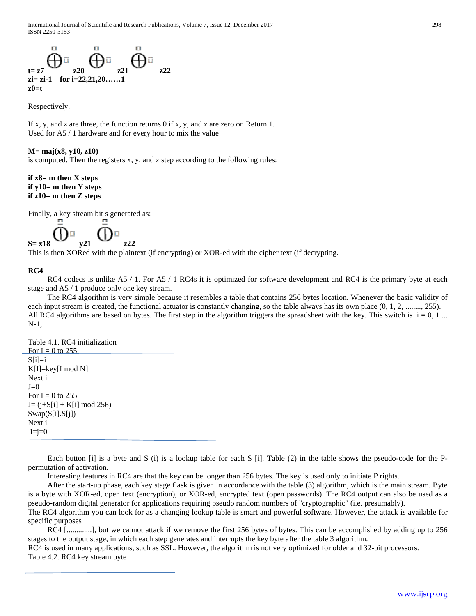$\overline{\bigoplus}_{z21}^{\square}$   $\overline{\bigoplus}_{z21}^{\square}$ **zi= zi-1 for i=22,21,20……1 z0=t**

Respectively.

If x, y, and z are three, the function returns 0 if x, y, and z are zero on Return 1. Used for A5 / 1 hardware and for every hour to mix the value

# **M= maj(x8, y10, z10)**

is computed. Then the registers x, y, and z step according to the following rules:

# **if x8= m then X steps if y10= m then Y steps if z10= m then Z steps**

Finally, a key stream bit s generated as:

н - 88 **y21** 

This is then XORed with the plaintext (if encrypting) or XOR-ed with the cipher text (if decrypting.

# **RC4**

RC4 codecs is unlike A5 / 1. For A5 / 1 RC4s it is optimized for software development and RC4 is the primary byte at each stage and A5 / 1 produce only one key stream.

 The RC4 algorithm is very simple because it resembles a table that contains 256 bytes location. Whenever the basic validity of each input stream is created, the functional actuator is constantly changing, so the table always has its own place  $(0, 1, 2, \ldots, 255)$ . All RC4 algorithms are based on bytes. The first step in the algorithm triggers the spreadsheet with the key. This switch is  $i = 0, 1, \ldots$ N-1,

Table 4.1. RC4 initialization For  $I = 0$  to 255  $S[i]=i$  $K[I]=key[I \mod N]$ Next i  $J=0$ For  $I = 0$  to 255  $J=(j+S[i]+K[i] \mod 256)$ Swap(S[i].S[j]) Next i  $I=ji=0$ 

 Each button [i] is a byte and S (i) is a lookup table for each S [i]. Table (2) in the table shows the pseudo-code for the Ppermutation of activation.

Interesting features in RC4 are that the key can be longer than 256 bytes. The key is used only to initiate P rights.

 After the start-up phase, each key stage flask is given in accordance with the table (3) algorithm, which is the main stream. Byte is a byte with XOR-ed, open text (encryption), or XOR-ed, encrypted text (open passwords). The RC4 output can also be used as a pseudo-random digital generator for applications requiring pseudo random numbers of "cryptographic" (i.e. presumably).

The RC4 algorithm you can look for as a changing lookup table is smart and powerful software. However, the attack is available for specific purposes

RC4 [............], but we cannot attack if we remove the first 256 bytes of bytes. This can be accomplished by adding up to 256 stages to the output stage, in which each step generates and interrupts the key byte after the table 3 algorithm.

RC4 is used in many applications, such as SSL. However, the algorithm is not very optimized for older and 32-bit processors. Table 4.2. RC4 key stream byte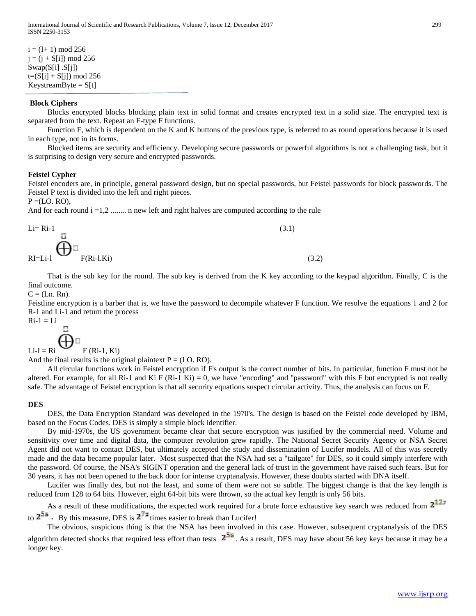## **Block Ciphers**

 Blocks encrypted blocks blocking plain text in solid format and creates encrypted text in a solid size. The encrypted text is separated from the text. Repeat an F-type F functions.

 Function F, which is dependent on the K and K buttons of the previous type, is referred to as round operations because it is used in each type, not in its forms.

 Blocked items are security and efficiency. Developing secure passwords or powerful algorithms is not a challenging task, but it is surprising to design very secure and encrypted passwords.

## **Feistel Cypher**

Feistel encoders are, in principle, general password design, but no special passwords, but Feistel passwords for block passwords. The Feistel P text is divided into the left and right pieces.

 $P = (LO, RO)$ ,

And for each round  $i = 1, 2, \dots$  n new left and right halves are computed according to the rule

$$
\mathbf{E} = \mathbf{R} \mathbf{i}^{-1} \mathbf{B}
$$
\n
$$
\mathbf{R} \mathbf{I} = \mathbf{L} \mathbf{i}^{-1} \mathbf{B}
$$
\n
$$
\mathbf{R} \mathbf{I} = \mathbf{L} \mathbf{i}^{-1} \mathbf{B}
$$
\n
$$
\mathbf{R} \mathbf{I} = \mathbf{L} \mathbf{i}^{-1} \mathbf{B}
$$
\n
$$
\mathbf{I} \mathbf{R} \mathbf{I} = \mathbf{L} \mathbf{i}^{-1} \mathbf{A}
$$
\n
$$
\mathbf{I} \mathbf{R} \mathbf{I} = \mathbf{L} \mathbf{i}^{-1} \mathbf{A}
$$
\n
$$
\mathbf{I} \mathbf{R} \mathbf{I} = \mathbf{L} \mathbf{i}^{-1} \mathbf{A}
$$
\n
$$
\mathbf{I} \mathbf{R} \mathbf{I} = \mathbf{L} \mathbf{i}^{-1} \mathbf{A}
$$
\n
$$
\mathbf{I} \mathbf{R} \mathbf{I} = \mathbf{L} \mathbf{i}^{-1} \mathbf{A}
$$
\n
$$
\mathbf{I} \mathbf{R} \mathbf{I} = \mathbf{L} \mathbf{i}^{-1} \mathbf{A}
$$
\n
$$
\mathbf{I} \mathbf{R} \mathbf{I} = \mathbf{L} \mathbf{i}^{-1} \mathbf{A}
$$
\n
$$
\mathbf{I} \mathbf{R} \mathbf{I} = \mathbf{L} \mathbf{i}^{-1} \mathbf{A}
$$
\n
$$
\mathbf{I} \mathbf{R} \mathbf{I} = \mathbf{L} \mathbf{i}^{-1} \mathbf{A}
$$
\n
$$
\mathbf{I} \mathbf{R} \mathbf{I} = \mathbf{L} \mathbf{i}^{-1} \mathbf{A}
$$
\n
$$
\mathbf{I} \mathbf{R} \mathbf{I} = \mathbf{L} \mathbf{i}^{-1} \mathbf{A}
$$
\n
$$
\mathbf{I} \mathbf{R} \mathbf{I} = \mathbf{L} \mathbf{i}^{-1} \mathbf{A}
$$
\n
$$
\mathbf{I} \mathbf{R} \mathbf{I} = \mathbf{L} \mathbf{i}^{-1} \mathbf{A
$$

 That is the sub key for the round. The sub key is derived from the K key according to the keypad algorithm. Finally, C is the final outcome.

 $C = (Ln. Rn)$ .

Feistline encryption is a barber that is, we have the password to decompile whatever F function. We resolve the equations 1 and 2 for R-1 and Li-1 and return the process

$$
Ri-1 = Li
$$

 $Li-I = Ri$   $F (Ri-1, Ki)$ 

And the final results is the original plaintext  $P = (LO, RO)$ .

 All circular functions work in Feistel encryption if F's output is the correct number of bits. In particular, function F must not be altered. For example, for all Ri-1 and Ki F (Ri-1 Ki) = 0, we have "encoding" and "password" with this F but encrypted is not really safe. The advantage of Feistel encryption is that all security equations suspect circular activity. Thus, the analysis can focus on F.

#### **DES**

 DES, the Data Encryption Standard was developed in the 1970's. The design is based on the Feistel code developed by IBM, based on the Focus Codes. DES is simply a simple block identifier.

 By mid-1970s, the US government became clear that secure encryption was justified by the commercial need. Volume and sensitivity over time and digital data, the computer revolution grew rapidly. The National Secret Security Agency or NSA Secret Agent did not want to contact DES, but ultimately accepted the study and dissemination of Lucifer models. All of this was secretly made and the data became popular later. Most suspected that the NSA had set a "tailgate" for DES, so it could simply interfere with the password. Of course, the NSA's SIGINT operation and the general lack of trust in the government have raised such fears. But for 30 years, it has not been opened to the back door for intense cryptanalysis. However, these doubts started with DNA itself.

 Lucifer was finally des, but not the least, and some of them were not so subtle. The biggest change is that the key length is reduced from 128 to 64 bits. However, eight 64-bit bits were thrown, so the actual key length is only 56 bits.

As a result of these modifications, the expected work required for a brute force exhaustive key search was reduced from  $2^{12\pi}$ to  $2^{55}$  - By this measure, DES is  $2^{72}$  times easier to break than Lucifer!

 The obvious, suspicious thing is that the NSA has been involved in this case. However, subsequent cryptanalysis of the DES algorithm detected shocks that required less effort than tests  $2^{55}$ . As a result, DES may have about 56 key keys because it may be a longer key.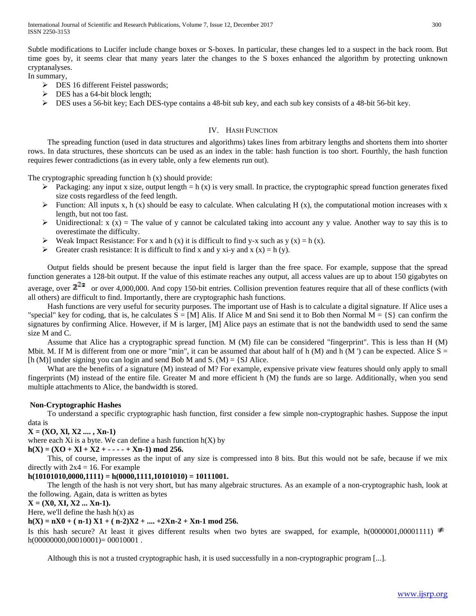Subtle modifications to Lucifer include change boxes or S-boxes. In particular, these changes led to a suspect in the back room. But time goes by, it seems clear that many years later the changes to the S boxes enhanced the algorithm by protecting unknown cryptanalyses.

In summary,

- **EX 16 different Feistel passwords;**
- $\triangleright$  DES has a 64-bit block length;
- $\triangleright$  DES uses a 56-bit key; Each DES-type contains a 48-bit sub key, and each sub key consists of a 48-bit 56-bit key.

# IV. HASH FUNCTION

 The spreading function (used in data structures and algorithms) takes lines from arbitrary lengths and shortens them into shorter rows. In data structures, these shortcuts can be used as an index in the table: hash function is too short. Fourthly, the hash function requires fewer contradictions (as in every table, only a few elements run out).

The cryptographic spreading function h (x) should provide:

- Packaging: any input x size, output length = h (x) is very small. In practice, the cryptographic spread function generates fixed size costs regardless of the feed length.
- Function: All inputs x, h (x) should be easy to calculate. When calculating H (x), the computational motion increases with x length, but not too fast.
- $\triangleright$  Unidirectional: x (x) = The value of y cannot be calculated taking into account any y value. Another way to say this is to overestimate the difficulty.
- Weak Impact Resistance: For x and h (x) it is difficult to find y-x such as y (x) = h (x).
- $\triangleright$  Greater crash resistance: It is difficult to find x and y xi-y and x (x) = h (y).

 Output fields should be present because the input field is larger than the free space. For example, suppose that the spread function generates a 128-bit output. If the value of this estimate reaches any output, all access values are up to about 150 gigabytes on average, over  $2^{22}$  or over 4,000,000. And copy 150-bit entries. Collision prevention features require that all of these conflicts (with

all others) are difficult to find. Importantly, there are cryptographic hash functions. Hash functions are very useful for security purposes. The important use of Hash is to calculate a digital signature. If Alice uses a "special" key for coding, that is, he calculates  $S = [M]$  Alis. If Alice M and Sni send it to Bob then Normal  $M = \{S\}$  can confirm the signatures by confirming Alice. However, if M is larger, [M] Alice pays an estimate that is not the bandwidth used to send the same size M and C.

 Assume that Alice has a cryptographic spread function. M (M) file can be considered "fingerprint". This is less than H (M) Mbit. M. If M is different from one or more "min", it can be assumed that about half of h  $(M)$  and h  $(M')$  can be expected. Alice  $S =$ [h (M)] under signing you can login and send Bob M and S. (M) = {SJ Alice.

What are the benefits of a signature (M) instead of M? For example, expensive private view features should only apply to small fingerprints (M) instead of the entire file. Greater M and more efficient h (M) the funds are so large. Additionally, when you send multiple attachments to Alice, the bandwidth is stored.

# **Non-Cryptographic Hashes**

 To understand a specific cryptographic hash function, first consider a few simple non-cryptographic hashes. Suppose the input data is

# **X = (XO, Xl, X2 .... , Xn-1)**

where each Xi is a byte. We can define a hash function  $h(X)$  by

# $h(X) = (XO + XI + X2 + \cdots + Xn-1) \text{ mod } 256.$

 This, of course, impresses as the input of any size is compressed into 8 bits. But this would not be safe, because if we mix directly with  $2x4 = 16$ . For example

# **h(10101010,0000,1111) = h(0000,1111,10101010) = 10111001.**

 The length of the hash is not very short, but has many algebraic structures. As an example of a non-cryptographic hash, look at the following. Again, data is written as bytes

# **X = (X0, XI, X2 ... Xn-1).**

Here, we'll define the hash  $h(x)$  as

# $h(X) = nX0 + (n-1) X1 + (n-2)X2 + \dots + 2Xn-2 + Xn-1 \text{ mod } 256.$

Is this hash secure? At least it gives different results when two bytes are swapped, for example, h(0000001,00001111)  $\neq$  $h(00000000,00010001) = 00010001$ .

Although this is not a trusted cryptographic hash, it is used successfully in a non-cryptographic program [...].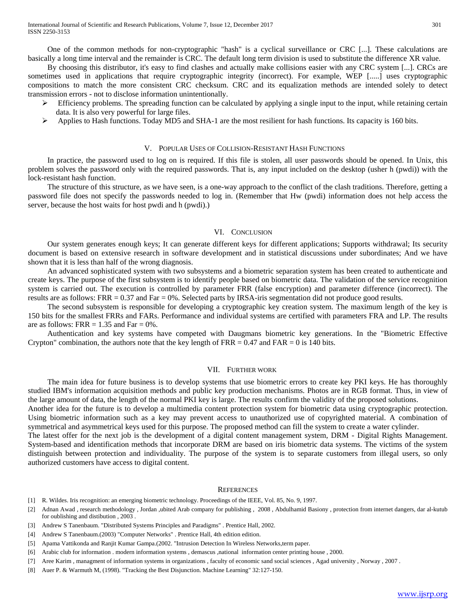One of the common methods for non-cryptographic "hash" is a cyclical surveillance or CRC [...]. These calculations are basically a long time interval and the remainder is CRC. The default long term division is used to substitute the difference XR value.

 By choosing this distributor, it's easy to find clashes and actually make collisions easier with any CRC system [...]. CRCs are sometimes used in applications that require cryptographic integrity (incorrect). For example, WEP [.....] uses cryptographic compositions to match the more consistent CRC checksum. CRC and its equalization methods are intended solely to detect transmission errors - not to disclose information unintentionally.

- $\triangleright$  Efficiency problems. The spreading function can be calculated by applying a single input to the input, while retaining certain data. It is also very powerful for large files.
- Applies to Hash functions. Today MD5 and SHA-1 are the most resilient for hash functions. Its capacity is 160 bits.

#### V. POPULAR USES OF COLLISION-RESISTANT HASH FUNCTIONS

 In practice, the password used to log on is required. If this file is stolen, all user passwords should be opened. In Unix, this problem solves the password only with the required passwords. That is, any input included on the desktop (usher h (pwdi)) with the lock-resistant hash function.

 The structure of this structure, as we have seen, is a one-way approach to the conflict of the clash traditions. Therefore, getting a password file does not specify the passwords needed to log in. (Remember that Hw (pwdi) information does not help access the server, because the host waits for host pwdi and h (pwdi).)

## VI. CONCLUSION

 Our system generates enough keys; It can generate different keys for different applications; Supports withdrawal; Its security document is based on extensive research in software development and in statistical discussions under subordinates; And we have shown that it is less than half of the wrong diagnosis.

 An advanced sophisticated system with two subsystems and a biometric separation system has been created to authenticate and create keys. The purpose of the first subsystem is to identify people based on biometric data. The validation of the service recognition system is carried out. The execution is controlled by parameter FRR (false encryption) and parameter difference (incorrect). The results are as follows:  $FRR = 0.37$  and  $Far = 0\%$ . Selected parts by IRSA-iris segmentation did not produce good results.

 The second subsystem is responsible for developing a cryptographic key creation system. The maximum length of the key is 150 bits for the smallest FRRs and FARs. Performance and individual systems are certified with parameters FRA and LP. The results are as follows: FRR  $= 1.35$  and Far  $= 0\%$ .

 Authentication and key systems have competed with Daugmans biometric key generations. In the "Biometric Effective Crypton" combination, the authors note that the key length of  $FRR = 0.47$  and  $FAR = 0$  is 140 bits.

#### VII. FURTHER WORK

 The main idea for future business is to develop systems that use biometric errors to create key PKI keys. He has thoroughly studied IBM's information acquisition methods and public key production mechanisms. Photos are in RGB format. Thus, in view of the large amount of data, the length of the normal PKI key is large. The results confirm the validity of the proposed solutions.

Another idea for the future is to develop a multimedia content protection system for biometric data using cryptographic protection. Using biometric information such as a key may prevent access to unauthorized use of copyrighted material. A combination of symmetrical and asymmetrical keys used for this purpose. The proposed method can fill the system to create a water cylinder.

The latest offer for the next job is the development of a digital content management system, DRM - Digital Rights Management. System-based and identification methods that incorporate DRM are based on iris biometric data systems. The victims of the system distinguish between protection and individuality. The purpose of the system is to separate customers from illegal users, so only authorized customers have access to digital content.

#### **REFERENCES**

- [1] R. Wildes. Iris recognition: an emerging biometric technology. Proceedings of the IEEE, Vol. 85, No. 9, 1997.
- [2] Adnan Awad , research methodology , Jordan ,ubited Arab company for publishing , 2008 , Abdulhamid Basiony , protection from internet dangers, dar al-kutub for oublishing and distibution , 2003 .
- [3] Andrew S Tanenbaum. "Distributed Systems Principles and Paradigms" . Prentice Hall, 2002.
- [4] Andrew S Tanenbaum.(2003) "Computer Networks" . Prentice Hall, 4th edition edition.
- [5] Apama Vattikonda and Ranjit Kumar Gampa.(2002. "Intrusion Detection In Wireless Networks,term paper.
- [6] Arabic club for information . modern information systems , demascus ,national information center printing house , 2000.
- [7] Aree Karim , managment of information systems in organizations , faculty of economic sand social sciences , Agad university , Norway , 2007 .
- [8] Auer P. & Warmuth M, (1998). "Tracking the Best Disjunction. Machine Learning" 32:127-150.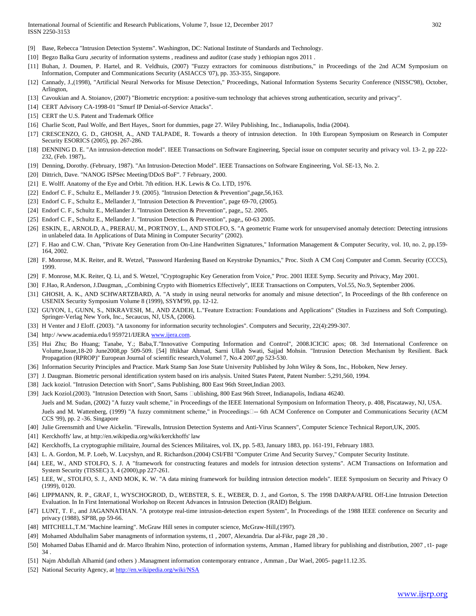- [9] Base, Rebecca "Intrusion Detection Systems". Washington, DC: National Institute of Standards and Technology.
- [10] Begzo Balka Guru ,security of information systems , readiness and auditor (case study ) ethiopian ngos 2011 .
- [11] Buhan, J. Doumen, P. Hartel, and R. Veldhuis, (2007) "Fuzzy extractors for cominuous distributions," in Proceedings of the 2nd ACM Symposium on Information, Computer and Communications Security (ASIACCS '07), pp. 353-355, Singapore.
- [12] Cannady, J.,(1998), "Artificial Neural Networks for Misuse Detection," Proceedings, National Information Systems Security Conference (NISSC'98), October, Arlington,
- [13] Cavoukian and A. Stoianov, (2007) "Biometric encryption: a positive-sum technology that achieves strong authentication, security and privacy".
- [14] CERT Advisory CA-1998-01 "Smurf IP Denial-of-Service Attacks".
- [15] CERT the U.S. Patent and Trademark Office
- [16] Charlie Scott, Paul Wolfe, and Bert Hayes,. Snort for dummies, page 27. Wiley Publishing, Inc., Indianapolis, India (2004).
- [17] CRESCENZO, G. D., GHOSH, A., AND TALPADE, R. Towards a theory of intrusion detection. In 10th European Symposium on Research in Computer Security ESORICS (2005), pp. 267-286.
- [18] DENNING D. E. "An intrusion-detection model". IEEE Transactions on Software Engineering, Special issue on computer security and privacy vol. 13- 2, pp 222- 232, (Feb. 1987),.
- [19] Denning, Dorothy. (February, 1987). "An Intrusion-Detection Model". IEEE Transactions on Software Engineering, Vol. SE-13, No. 2.
- [20] Dittrich, Dave. "NANOG ISPSec Meeting/DDoS BoF". 7 February, 2000.
- [21] E. Wolff. Anatomy of the Eye and Orbit. 7th edition. H.K. Lewis & Co. LTD, 1976.
- [22] Endorf C. F., Schultz E., Mellander J 9. (2005). "Intrusion Detection & Prevention",page,56,163.
- [23] Endorf C. F., Schultz E., Mellander J, "Intrusion Detection & Prevention", page 69-70, (2005).
- [24] Endorf C. F., Schultz E., Mellander J. "Intrusion Detection & Prevention", page,, 52. 2005.
- [25] Endorf C. F., Schultz E., Mellander J. "Intrusion Detection & Prevention", page,, 60-63 2005.
- [26] ESKIN, E., ARNOLD, A., PRERAU, M., PORTNOY, L., AND STOLFO, S. "A geometric Frame work for unsupervised anomaly detection: Detecting intrusions in unlabeled data. In Applications of Data Mining in Computer Security" (2002).
- [27] F. Hao and C.W. Chan, "Private Key Generation from On-Line Handwritten Signatures," Information Management & Computer Security, vol. 10, no. 2, pp.159- 164, 2002.
- [28] F. Monrose, M.K. Reiter, and R. Wetzel, "Password Hardening Based on Keystroke Dynamics," Proc. Sixth A CM Conj Computer and Comm. Security (CCCS), 1999.
- [29] F. Monrose, M.K. Reiter, Q. Li, and S. Wetzel, "Cryptographic Key Generation from Voice," Proc. 2001 IEEE Symp. Security and Privacy, May 2001.
- [30] F.Hao, R.Anderson, J.Daugman, ,,Combining Crypto with Biometrics Effectively", IEEE Transactions on Computers, Vol.55, No.9, September 2006.
- [31] GHOSH, A. K., AND SCHWARTZBARD, A. "A study in using neural networks for anomaly and misuse detection", In Proceedings of the 8th conference on USENIX Security Symposium Volume 8 (1999), SSYM'99, pp. 12-12.
- [32] GUYON, I., GUNN, S., NIKRAVESH, M., AND ZADEH, L."Feature Extraction: Foundations and Applications" (Studies in Fuzziness and Soft Computing). Springer-Verlag New York, Inc., Secaucus, NJ, USA, (2006).
- [33] H Venter and J Eloff. (2003). "A taxonomy for information security technologies". Computers and Security, 22(4):299-307.
- [34] http:/ /www.academia.edu/l 959721/IJER[A www.ijera.com.](http://www.ijera.com/)
- [35] Hui Zhu; Bo Huang; Tanabe, Y.; Baba,T."Innovative Computing Information and Control", 2008.ICICIC apos; 08. 3rd International Conference on Volume,Issue,18-20 June2008,pp 509-509. [54] Iftikhar Ahmad, Sarni Ullah Swati, Sajjad Mohsin. "Intrusion Detection Mechanism by Resilient. Back Propagation (RPROP)" European Journal of scientific research,Volumel 7, No.4 2007,pp 523-530.
- [36] Information Security Principles and Practice. Mark Stamp San Jose State University Published by John Wiley & Sons, Inc., Hoboken, New Jersey.
- [37] J. Daugman. Biometric personal identification system based on iris analysis. United States Patent, Patent Number: 5,291,560, 1994.
- [38] Jack koziol. "Intrusion Detection with Snort", Sams Publishing, 800 East 96th Street,Indian 2003.
- [39] Jack Koziol.(2003). "Intrusion Detection with Snort, Sams Dublishing, 800 East 96th Street, Indianapolis, Indiana 46240. Juels and M. Sudan, (2002) "A fuzzy vault scheme," in Proceedings of the IEEE International Symposium on Information Theory, p. 408, Piscataway, NJ, USA. Juels and M. Wattenberg, (1999) "A fuzzy commitment scheme," in Proceedings<sup>[1]</sup>-- 6th ACM Conference on Computer and Communications Security (ACM CCS '99), pp. 2 -36. Singapore
- [40] Julie Greensmith and Uwe Aickelin. "Firewalls, Intrusion Detection Systems and Anti-Virus Scanners", Computer Science Technical Report,UK, 2005.
- [41] Kerckhoffs' law, at http://en.wikipedia.org/wiki/kerckhoffs' law
- [42] Kerckhoffs, La cryptographie rnilitaire, Journal des Sciences Militaires, vol. IX, pp. 5-83, January 1883, pp. 161-191, February 1883.
- [43] L. A. Gordon, M. P. Loeb, W. Lucyshyn, and R. Richardson.(2004) CSI/FBI "Computer Crime And Security Survey," Computer Security Institute.
- [44] LEE, W., AND STOLFO, S. J. A "framework for constructing features and models for intrusion detection systems". ACM Transactions on Information and System Security (TISSEC) 3, 4 (2000),pp 227-261.
- [45] LEE, W., STOLFO, S. J., AND MOK, K. W. "A data mining framework for building intrusion detection models". IEEE Symposium on Security and Privacy O (1999), 0120.
- [46] LIPPMANN, R. P., GRAF, I., WYSCHOGROD, D., WEBSTER, S. E., WEBER, D. J., and Gorton, S. The 1998 DARPA/AFRL Off-Line Intrusion Detection Evaluation. In In First International Workshop on Recent Advances in Intrusion Detection (RAID) Belgium.
- [47] LUNT, T. F., and JAGANNATHAN. "A prototype real-time intrusion-detection expert System", In Proceedings of the 1988 IEEE conference on Security and privacy (1988), SP'88, pp 59-66.
- [48] MITCHELL,T.M."Machine learning". McGraw Hill senes in computer science, McGraw-Hill,(1997).
- [49] Mohamed Abdulhalim Saber managments of information systems, t1 , 2007, Alexandria. Dar al-Fikr, page 28 ,30 .
- [50] Mohamed Dabas Elhamid and dr. Marco Ibrahim Nino, protection of information systems, Amman , Hamed library for publishing and distribution, 2007 , t1- page 34 .
- [51] Najm Abdullah Alhamid (and others ) .Managment information contemporary entrance , Amman , Dar Wael, 2005- page11.12.35.
- [52] National Security Agency, at<http://en.wikipedia.org/wiki/NSA>